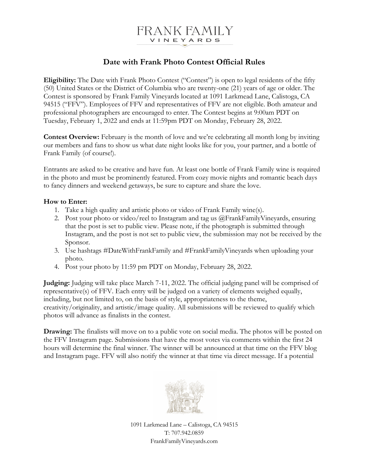

## **Date with Frank Photo Contest Official Rules**

**Eligibility:** The Date with Frank Photo Contest ("Contest") is open to legal residents of the fifty (50) United States or the District of Columbia who are twenty-one (21) years of age or older. The Contest is sponsored by Frank Family Vineyards located at 1091 Larkmead Lane, Calistoga, CA 94515 ("FFV"). Employees of FFV and representatives of FFV are not eligible. Both amateur and professional photographers are encouraged to enter. The Contest begins at 9:00am PDT on Tuesday, February 1, 2022 and ends at 11:59pm PDT on Monday, February 28, 2022.

**Contest Overview:** February is the month of love and we're celebrating all month long by inviting our members and fans to show us what date night looks like for you, your partner, and a bottle of Frank Family (of course!).

Entrants are asked to be creative and have fun. At least one bottle of Frank Family wine is required in the photo and must be prominently featured. From cozy movie nights and romantic beach days to fancy dinners and weekend getaways, be sure to capture and share the love.

## **How to Enter:**

- 1. Take a high quality and artistic photo or video of Frank Family wine(s).
- 2. Post your photo or video/reel to Instagram and tag us @FrankFamilyVineyards, ensuring that the post is set to public view. Please note, if the photograph is submitted through Instagram, and the post is not set to public view, the submission may not be received by the Sponsor.
- 3. Use hashtags #DateWithFrankFamily and #FrankFamilyVineyards when uploading your photo.
- 4. Post your photo by 11:59 pm PDT on Monday, February 28, 2022.

**Judging:** Judging will take place March 7-11, 2022. The official judging panel will be comprised of representative(s) of FFV. Each entry will be judged on a variety of elements weighed equally, including, but not limited to, on the basis of style, appropriateness to the theme, creativity/originality, and artistic/image quality. All submissions will be reviewed to qualify which photos will advance as finalists in the contest.

**Drawing:** The finalists will move on to a public vote on social media. The photos will be posted on the FFV Instagram page. Submissions that have the most votes via comments within the first 24 hours will determine the final winner. The winner will be announced at that time on the FFV blog and Instagram page. FFV will also notify the winner at that time via direct message. If a potential



1091 Larkmead Lane – Calistoga, CA 94515 T: 707.942.0859 FrankFamilyVineyards.com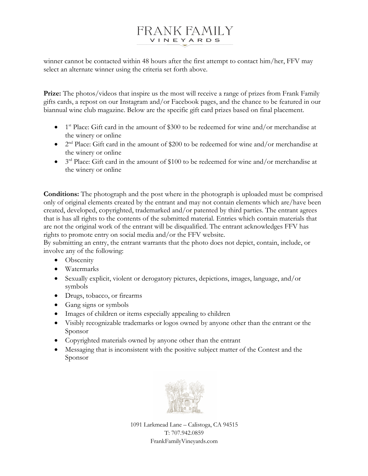## FRANK FAMILY VINEYARDS

winner cannot be contacted within 48 hours after the first attempt to contact him/her, FFV may select an alternate winner using the criteria set forth above.

**Prize:** The photos/videos that inspire us the most will receive a range of prizes from Frank Family gifts cards, a repost on our Instagram and/or Facebook pages, and the chance to be featured in our biannual wine club magazine. Below are the specific gift card prizes based on final placement.

- 1<sup>st</sup> Place: Gift card in the amount of \$300 to be redeemed for wine and/or merchandise at the winery or online
- $2<sup>nd</sup> Place: Gift card in the amount of $200 to be redeemed for wine and/or merchandise at$ the winery or online
- 3rd Place: Gift card in the amount of \$100 to be redeemed for wine and/or merchandise at the winery or online

**Conditions:** The photograph and the post where in the photograph is uploaded must be comprised only of original elements created by the entrant and may not contain elements which are/have been created, developed, copyrighted, trademarked and/or patented by third parties. The entrant agrees that is has all rights to the contents of the submitted material. Entries which contain materials that are not the original work of the entrant will be disqualified. The entrant acknowledges FFV has rights to promote entry on social media and/or the FFV website.

By submitting an entry, the entrant warrants that the photo does not depict, contain, include, or involve any of the following:

- Obscenity
- Watermarks
- Sexually explicit, violent or derogatory pictures, depictions, images, language, and/or symbols
- Drugs, tobacco, or firearms
- Gang signs or symbols
- Images of children or items especially appealing to children
- Visibly recognizable trademarks or logos owned by anyone other than the entrant or the Sponsor
- Copyrighted materials owned by anyone other than the entrant
- Messaging that is inconsistent with the positive subject matter of the Contest and the Sponsor



1091 Larkmead Lane – Calistoga, CA 94515 T: 707.942.0859 FrankFamilyVineyards.com